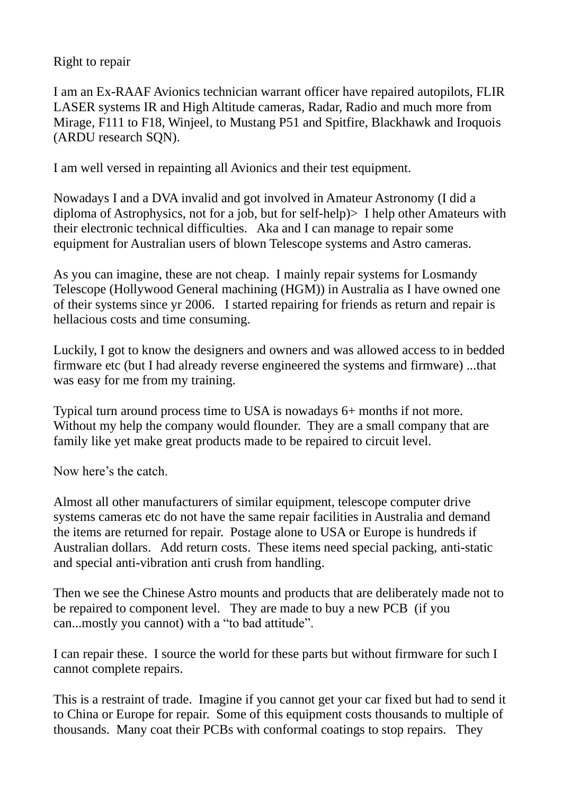Right to repair

I am an Ex-RAAF Avionics technician warrant officer have repaired autopilots, FLIR LASER systems IR and High Altitude cameras, Radar, Radio and much more from Mirage, F111 to F18, Winjeel, to Mustang P51 and Spitfire, Blackhawk and Iroquois (ARDU research SQN).

I am well versed in repainting all Avionics and their test equipment.

Nowadays I and a DVA invalid and got involved in Amateur Astronomy (I did a diploma of Astrophysics, not for a job, but for self-help)> I help other Amateurs with their electronic technical difficulties. Aka and I can manage to repair some equipment for Australian users of blown Telescope systems and Astro cameras.

As you can imagine, these are not cheap. I mainly repair systems for Losmandy Telescope (Hollywood General machining (HGM)) in Australia as I have owned one of their systems since yr 2006. I started repairing for friends as return and repair is hellacious costs and time consuming.

Luckily, I got to know the designers and owners and was allowed access to in bedded firmware etc (but I had already reverse engineered the systems and firmware) ...that was easy for me from my training.

Typical turn around process time to USA is nowadays 6+ months if not more. Without my help the company would flounder. They are a small company that are family like yet make great products made to be repaired to circuit level.

Now here's the catch.

Almost all other manufacturers of similar equipment, telescope computer drive systems cameras etc do not have the same repair facilities in Australia and demand the items are returned for repair. Postage alone to USA or Europe is hundreds if Australian dollars. Add return costs. These items need special packing, anti-static and special anti-vibration anti crush from handling.

Then we see the Chinese Astro mounts and products that are deliberately made not to be repaired to component level. They are made to buy a new PCB (if you can...mostly you cannot) with a "to bad attitude".

I can repair these. I source the world for these parts but without firmware for such I cannot complete repairs.

This is a restraint of trade. Imagine if you cannot get your car fixed but had to send it to China or Europe for repair. Some of this equipment costs thousands to multiple of thousands. Many coat their PCBs with conformal coatings to stop repairs. They